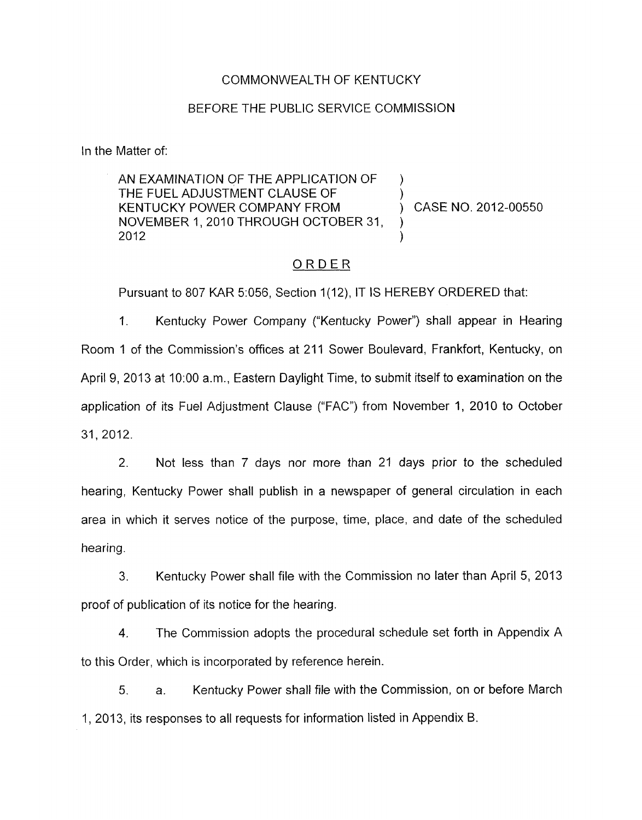#### COMMONWEALTH OF KENTUCKY

#### BEFORE THE PUBLIC SERVICE COMMISSION

In the Matter of:

AN EXAMINATION OF THE APPLICATION OF THE FUEL ADJUSTMENT CLAUSE OF KENTUCKY POWER COMPANY FROM (CASE NO. 2012-00550) NOVEMBER 1, 2010 THROUGH OCTOBER 31,  $2012$  ) )

### ORDER

Pursuant to 807 KAR 5:056, Section 1(12), IT IS HEREBY ORDERED that:

1. Kentucky Power Company ("Kentucky Power") shall appear in Hearing Room 1 of the Commission's offices at 211 Sower Boulevard, Frankfort, Kentucky, on April 9, 2013 at 1O:OO a.m., Eastern Daylight Time, to submit itself to examination on the application of its Fuel Adjustment Clause ("FAC") from November 1, 2010 to October 31, 2012.

2. Not less than 7 days nor more than 21 days prior to the scheduled hearing, Kentucky Power shall publish in a newspaper of general circulation in each area in which it serves notice of the purpose, time, place, and date of the scheduled hearing.

3. Kentucky Power shall file with the Commission no later than April 5, 2013 proof of publication of its notice for the hearing.

4. The Commission adopts the procedural schedule set forth in Appendix A to this Order, which is incorporated by reference herein.

5. a. Kentucky Power shall file with the Commission, on or before March 1, 2013, its responses to all requests for information listed in Appendix B.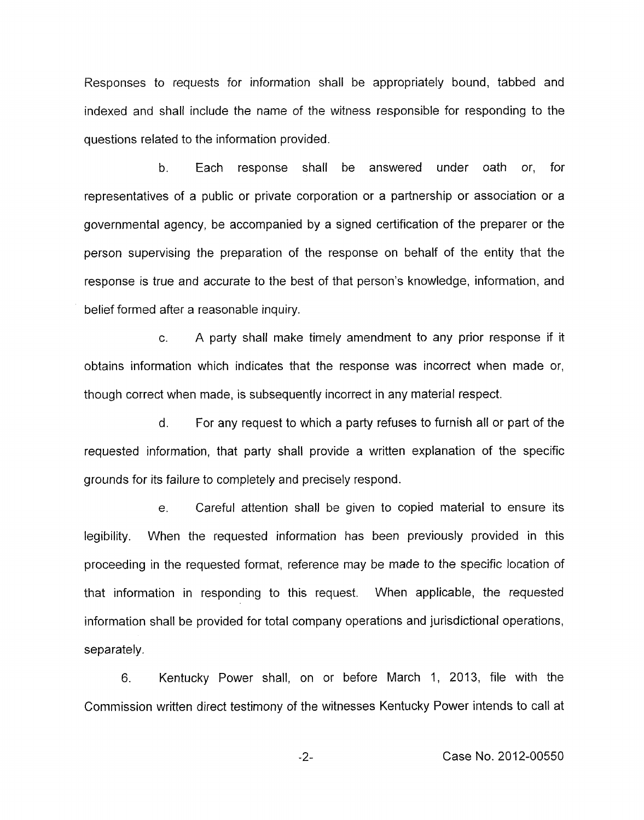Responses to requests for information shall be appropriately bound, tabbed and indexed and shall include the name of the witness responsible for responding to the questions related to the information provided.

b. Each response shall be answered under oath or, for representatives of a public or private corporation or a partnership or association or a governmental agency, be accompanied by a signed certification of the preparer or the person supervising the preparation of the response on behalf of the entity that the response is true and accurate to the best of that person's knowledge, information, and belief formed after a reasonable inquiry.

c. A party shall make timely amendment to any prior response if it obtains information which indicates that the response was incorrect when made or, though correct when made, is subsequently incorrect in any material respect.

d. For any request to which a party refuses to furnish all or part of the requested information, that party shall provide a written explanation of the specific grounds for its failure to completely and precisely respond.

e. Careful attention shall be given to copied material to ensure its legibility. When the requested information has been previously provided in this proceeding in the requested format, reference may be made to the specific location of that information in responding to this request. When applicable, the requested information shall be provided for total company operations and jurisdictional operations, separately.

6. Kentucky Power shall, on or before March 1, 2013, file with the Commission written direct testimony of the witnesses Kentucky Power intends to call at

-2- Case No. 2012-00550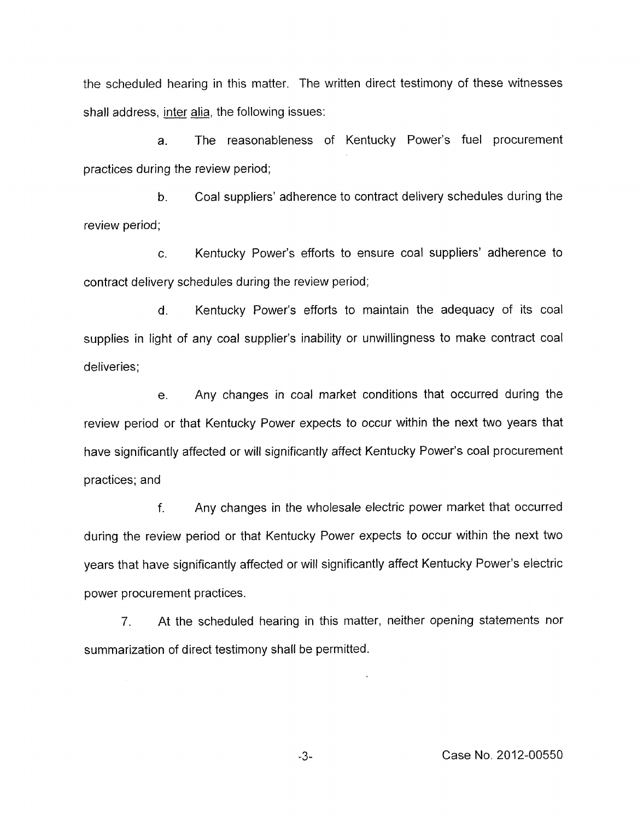the scheduled hearing in this matter. The written direct testimony of these witnesses shall address, inter alia, the following issues:

a. The reasonableness of Kentucky Power's fuel procurement practices during the review period;

**b.** Coal suppliers' adherence to contract delivery schedules during the review period;

c. Kentucky Power's efforts to ensure coal suppliers' adherence to contract delivery schedules during the review period;

d. Kentucky Power's efforts to maintain the adequacy of its coal supplies in light of any coal supplier's inability or unwillingness to make contract coal deliveries;

e. Any changes in coal market conditions that occurred during the review period or that Kentucky Power expects to occur within the next two years that have significantly affected or will significantly affect Kentucky Power's coal procurement practices; and

f. Any changes in the wholesale electric power market that occurred during the review period or that Kentucky Power expects to occur within the next two years that have significantly affected or will significantly affect Kentucky Power's electric power procurement practices.

7. At the scheduled hearing in this matter, neither opening statements nor summarization of direct testimony shall be permitted.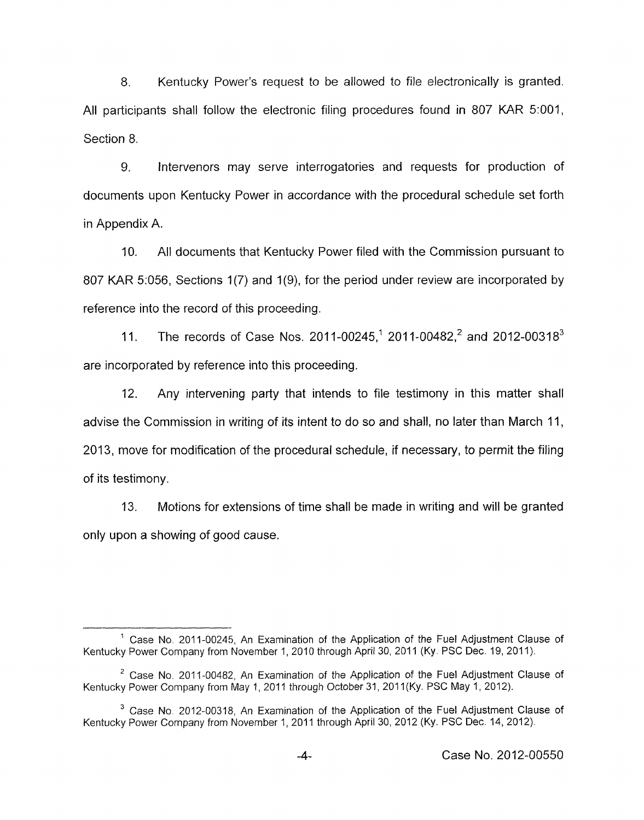8. Kentucky Power's request to be allowed *to* file electronically is granted. All participants shall follow the electronic filing procedures found in 807 KAR 5:001, Section 8.

*9.* Intervenors may serve interrogatories and requests for production of documents upon Kentucky Power in accordance with the procedural schedule set forth in Appendix A.

IO. All documents that Kentucky Power filed with the Commission pursuant to 807 KAR 5:056, Sections 1(7) and 1(9), for the period under review are incorporated by reference into the record of this proceeding.

11. The records of Case Nos. 2011-00245,<sup>1</sup> 2011-00482,<sup>2</sup> and 2012-00318<sup>3</sup> are incorporated by reference into this proceeding.

12. Any intervening party that intends to file testimony in this matter shall advise the Commission in writing of its intent to do so and shall, no later than March 11, 2013, move for modification of the procedural schedule, if necessary, to permit the filing of its testimony.

13. Motions for extensions of time shall be made in writing and will be granted only upon a showing of good cause.

 $<sup>1</sup>$  Case No. 2011-00245, An Examination of the Application of the Fuel Adjustment Clause of</sup> Kentucky Power Company from November 1, 2010 through April 30, 2011 (Ky. PSC Dec. 19, 2011).

Case No. 2011-00482, An Examination of the Application of the Fuel Adjustment Clause of **<sup>2</sup>** Kentucky Power Company from May 1, 2011 through October 31, 2011 (Ky. PSC May 1, 2012).

Kentucky Power Company from November 1,2011 through April 30,2012 (Ky. PSC Dec. 14,2012). <sup>3</sup> Case No. 2012-00318, An Examination of the Application of the Fuel Adjustment Clause of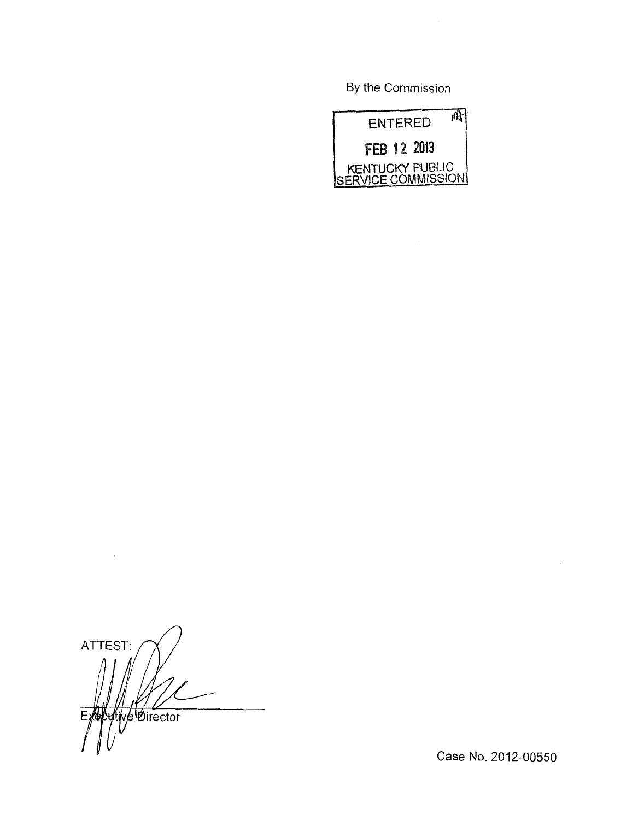By the Commission



ATTEST: tive Øirector  $E$ 

Case No. 2012-00550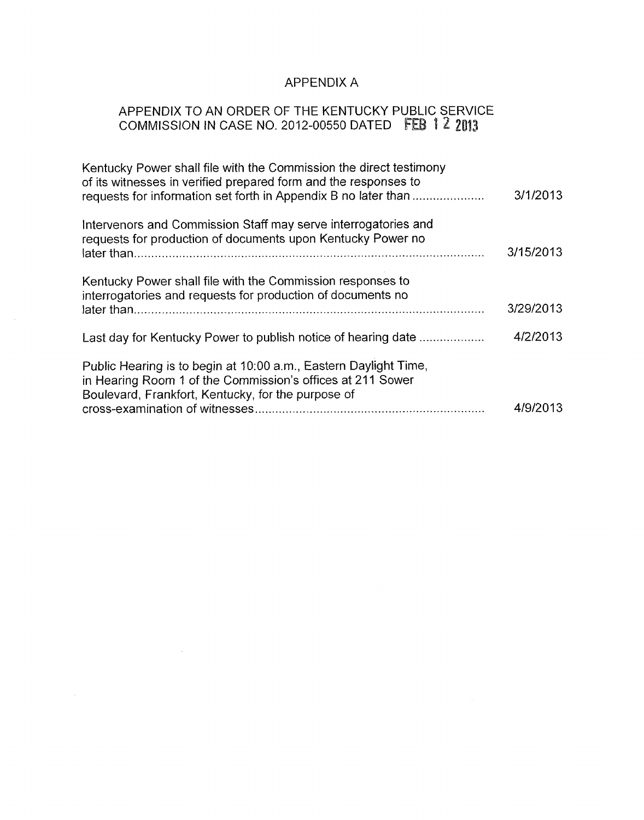# APPENDIX A

## APPENDIX TO AN ORDER OF THE KENTUCKY PUBLIC SERVICE COMMISSION IN CASE NO. 2012-00550 DATED F

| 3/1/2013  |
|-----------|
| 3/15/2013 |
| 3/29/2013 |
| 4/2/2013  |
| 4/9/2013  |
|           |

 $\mathcal{L}(\mathcal{L}^{\mathcal{L}})$  and  $\mathcal{L}^{\mathcal{L}}$  are  $\mathcal{L}^{\mathcal{L}}$  . In the contribution of

 $\mathcal{L}(\mathcal{A})$  and  $\mathcal{L}(\mathcal{A})$  and  $\mathcal{L}(\mathcal{A})$ 

 $\sim 10^7$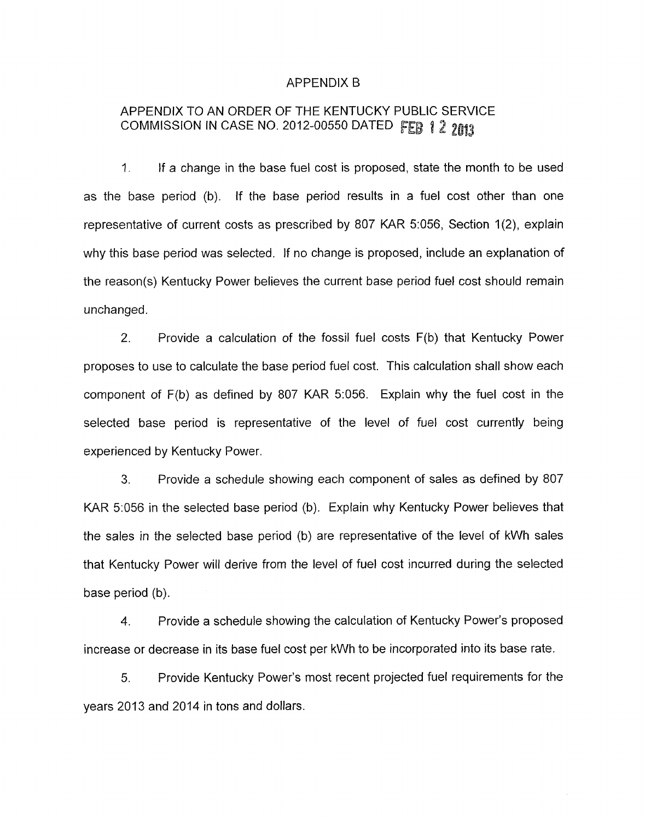#### APPENDIX B

## APPENDIX TO AN ORDER OF THE KENTUCKY PUBLIC SERVICE COMMISSION IN CASE NO. 2012-00550 DATED FEB 1 2 2013

1. If a change in the base fuel cost is proposed, state the month to be used as the base period (b). If the base period results in a fuel cost other than one representative of current costs as prescribed by 807 KAR 5:056, Section 1(2), explain why this base period was selected. If no change is proposed, include an explanation of the reason(s) Kentucky Power believes the current base period fuel cost should remain unchanged.

2. Provide a calculation of the fossil fuel costs F(b) that Kentucky Power proposes to use to calculate the base period fuel cost. This calculation shall show each component of  $F(b)$  as defined by 807 KAR 5:056. Explain why the fuel cost in the selected base period is representative of the level of fuel cost currently being experienced by Kentucky Power.

**3.** Provide a schedule showing each component of sales as defined by 807 KAR 5:056 in the selected base period (b). Explain why Kentucky Power believes that the sales in the selected base period (b) are representative of the level of kWh sales that Kentucky Power will derive from the level of fuel cost incurred during the selected base period (b).

**4.** Provide a schedule showing the calculation of Kentucky Power's proposed increase or decrease in its base fuel cost per kWh to be incorporated into its base rate.

*5.* Provide Kentucky Power's most recent projected fuel requirements for the years 2013 and 2014 in tons and dollars.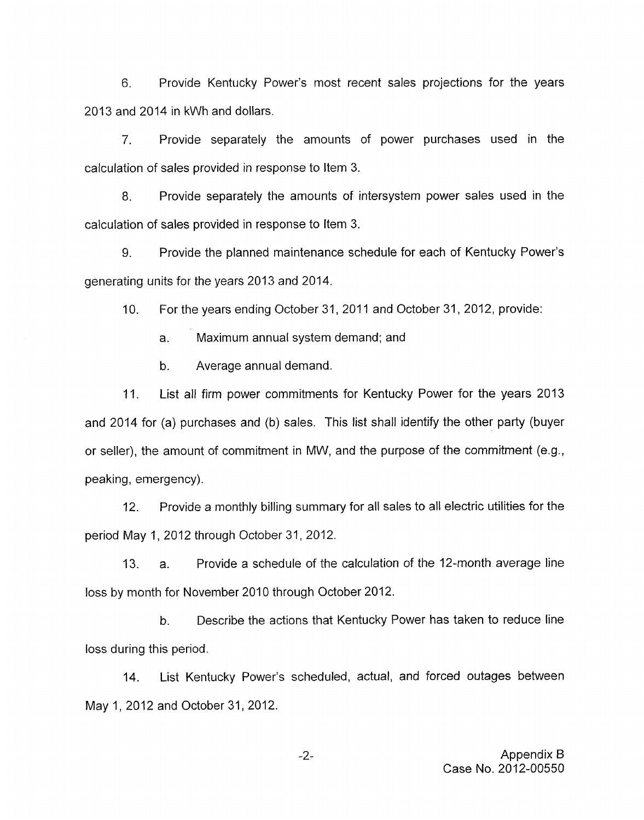6. Provide Kentucky Power's most recent sales projections for the years 2013 and 2014 in kWh and dollars.

7. Provide separately the amounts of power purchases used in the calculation of sales provided in response to Item 3.

8. Provide separately the amounts of intersystem power sales used in the calculation of sales provided in response to Item 3.

9. Provide the planned maintenance schedule for each of Kentucky Power's generating units for the years 2013 and 2014.

10. For the years ending October 31, 2011 and October 31, 2012, provide:

a. Maximum annual system demand; and

b. Average annual demand.

List all firm power commitments for Kentucky Power for the years 2013 and 2014 for (a) purchases and (b) sales. This list shall identify the other party (buyer or seller), the amount of commitment in MW, and the purpose of the commitment (e.g., peaking, emergency). 11.

12. Provide a monthly billing summary for all sales to all electric utilities for the period May 1, 2012 through October 31, 2012.

13. a. Provide a schedule of the calculation of the 12-month average line loss by month for November 2010 through October 2012.

b. Describe the actions that Kentucky Power has taken to reduce line loss during this period.

14. List Kentucky Power's scheduled, actual, and forced outages between May 1, 2012 and October 31, 2012.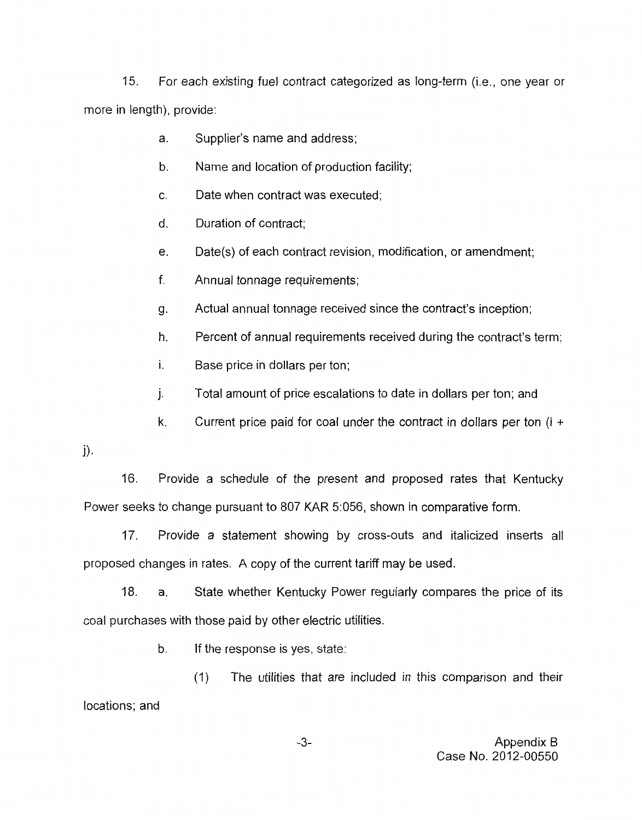15. For each existing fuel contract categorized as long-term (i.e., one year or more in length), provide:

- a. Supplier's name and address;
- b. Name and location of production facility;
- $\mathbb{C}$ Date when contract was executed:
- d. Duration of contract;
- e. Date(s) of each contract revision, modification, or amendment;
- f. Annual tonnage requirements;
- g. Actual annual tonnage received since the contract's inception;
- h. Percent of annual requirements received during the contract's term;
- **I.**  Base price in dollars per ton;
- 1. Total amount of price escalations to date in dollars per ton; and
- k. Current price paid for coal under the contract in dollars per ton  $(i +$

1).

16. Provide a schedule of the present and proposed rates that Kentucky Power seeks to change pursuant to 807 KAR 5:056, shown in comparative form.

17. Provide a statement showing by cross-outs and italicized inserts all proposed changes in rates. A copy of the current tariff may be used.

18. a. State whether Kentucky Power regularly compares the price of its coal purchases with those paid by other electric utilities.

b. If the response is yes, state:

(1) The utilities that are included in this comparison and their locations; and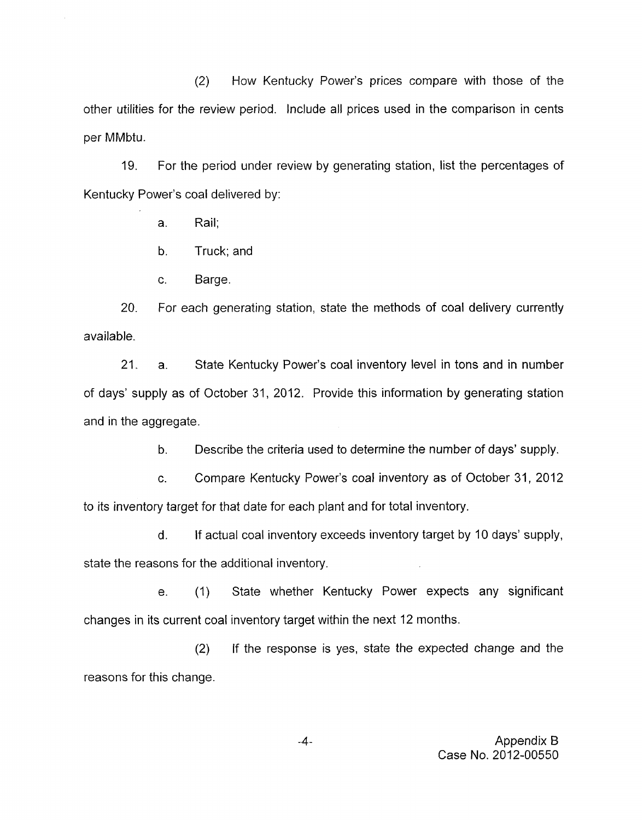(2) How Kentucky Power's prices compare with those of the other utilities for the review period. Include all prices used in the comparison in cents per MMbtu.

19. For the period under review by generating station, list the percentages of Kentucky Power's coal delivered by:

a. Rail;

b. Truck; and

c. Barge.

20. available. For each generating station, state the methods of coal delivery currently

21. a. State Kentucky Power's coal inventory level in tons and in number of days' supply as of October 31, 2012. Provide this information by generating station and in the aggregate.

> b. Describe the criteria used to determine the number of days' supply.

c. Compare Kentucky Power's coal inventory as of October 31, 2012 to its inventory target for that date for each plant and for total inventory.

d. If actual coal inventory exceeds inventory target by 10 days' supply, state the reasons for the additional inventory.

e. (1) State whether Kentucky Power expects any significant changes in its current coal inventory target within the next 12 months.

(2) If the response is yes, state the expected change and the reasons for this change.

 $-4-$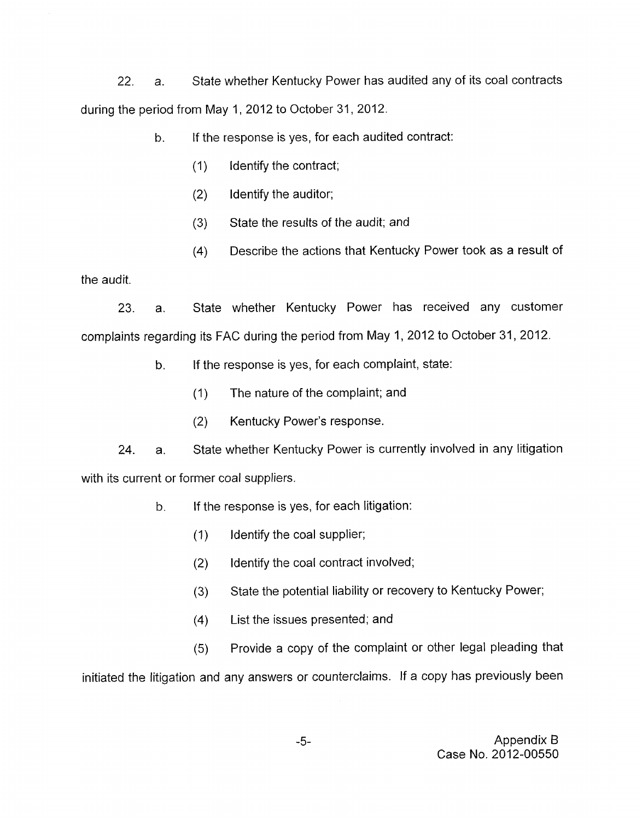22. a. State whether Kentucky Power has audited any of its coal contracts during the period from May 1, 2012 to October 31, 2012.

h. If the response is yes, for each audited contract:

- (1) Identify the contract;
- (2) Identify the auditor;
- (3) State the results of the audit; and
- $(4)$ Describe the actions that Kentucky Power took as a result of

the audit.

23. a. State whether Kentucky Power has received any customer complaints regarding its FAC during the period from May 1, 2012 to October 31, 2012.

- b. If the response is yes, for each complaint, state:
	- (1) The nature of the complaint; and
	- (2) Kentucky Power's response.

24. a. State whether Kentucky Power is currently involved in any litigation with its current or former coal suppliers.

- b. If the response is yes, for each litigation:
	- (1) Identify the coal supplier;
	- (2) Identify the coal contract involved;
	- (3) State the potential liability or recovery to Kentucky Power;
	- $(4)$ List the issues presented; and
	- (5) Provide a copy of the complaint or other legal pleading that

initiated the litigation and any answers or counterclaims. If a copy has previously been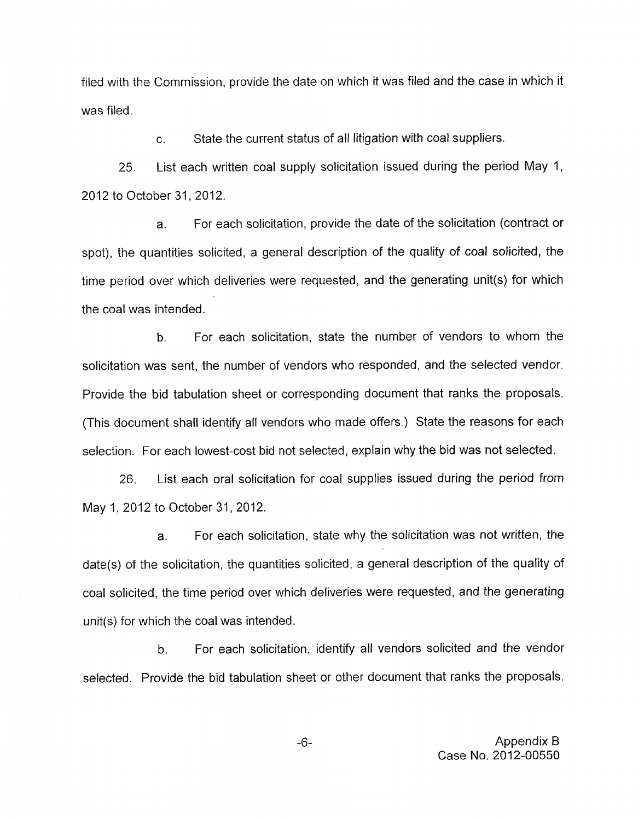filed with the Commission, provide the date on which it was filed and the case in which it was filed.

> c. State the current status of all litigation with coal suppliers.

List each written coal supply solicitation issued during the period May 1, 25. 2012 to October 31, 2012.

a. For each solicitation, provide the date of the solicitation (contract or spot), the quantities solicited, a general description of the quality of coal solicited, the time period over which deliveries were requested, and the generating unit(s) for which the coal was intended.

b. For each solicitation, state the number of vendors to whom the solicitation was sent, the number of vendors who responded, and the selected vendor. Provide the bid tabulation sheet or corresponding document that ranks the proposals. (This document shall identify all vendors who made offers.) State the reasons for each selection. For each lowest-cost bid not selected, explain why the bid was not selected.

26. List each oral solicitation for coal supplies issued during the period from May 1, 2012 to October 31, 2012.

a. For each solicitation, state why the solicitation was not written, the date(s) of the solicitation, the quantities solicited, a general description of the quality of coal solicited, the time period over which deliveries were requested, and the generating unit(s) for which the coal was intended.

b. For each solicitation, identify all vendors solicited and the vendor selected. Provide the bid tabulation sheet or other document that ranks the proposals.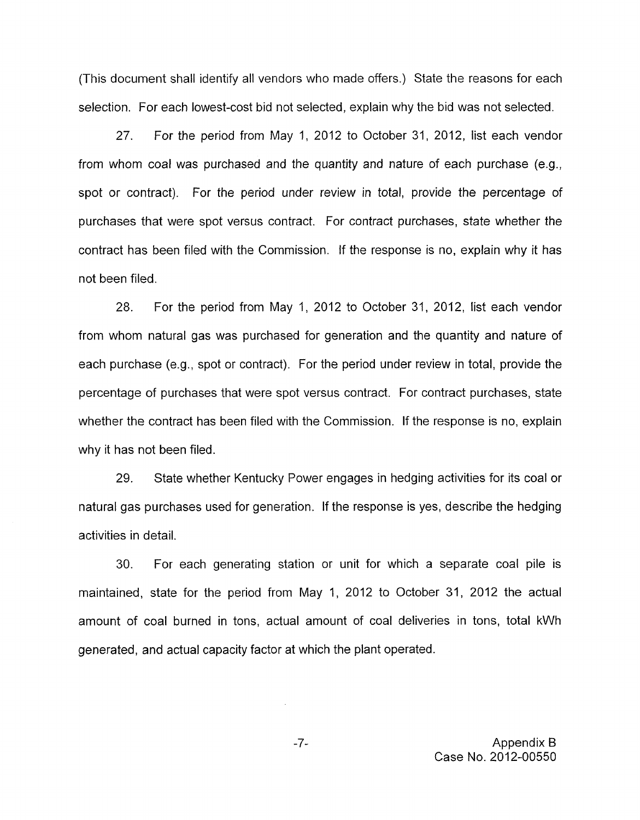(This document shall identify all vendors who made offers.) State the reasons for each selection. For each lowest-cost bid not selected, explain why the bid was not selected.

27. For the period from May 1, 2012 to October 31, 2012, list each vendor from whom coal was purchased and the quantity and nature of each purchase (e.g., spot or contract). For the period under review in total, provide the percentage of purchases that were spot versus contract. For contract purchases, state whether the contract has been filed with the Commission. if the response is no, explain why it has not been filed.

28. For the period from May 1, 2012 to October 31, 2012, list each vendor from whom natural gas was purchased for generation and the quantity and nature of each purchase (e.g., spot or contract). For the period under review in total, provide the percentage of purchases that were spot versus contract. For contract purchases, state whether the contract has been filed with the Commission. If the response is no, explain why it has not been filed.

29. State whether Kentucky Power engages in hedging activities for its coal or natural gas purchases used for generation. If the response is yes, describe the hedging activities in detail.

**30.** For each generating station or unit for which a separate coal pile is maintained, state for the period from May 1, 2012 to October 31, 2012 the actual amount of coal burned in tons, actual amount of coal deliveries in tons, total kWh generated, and actual capacity factor at which the plant operated.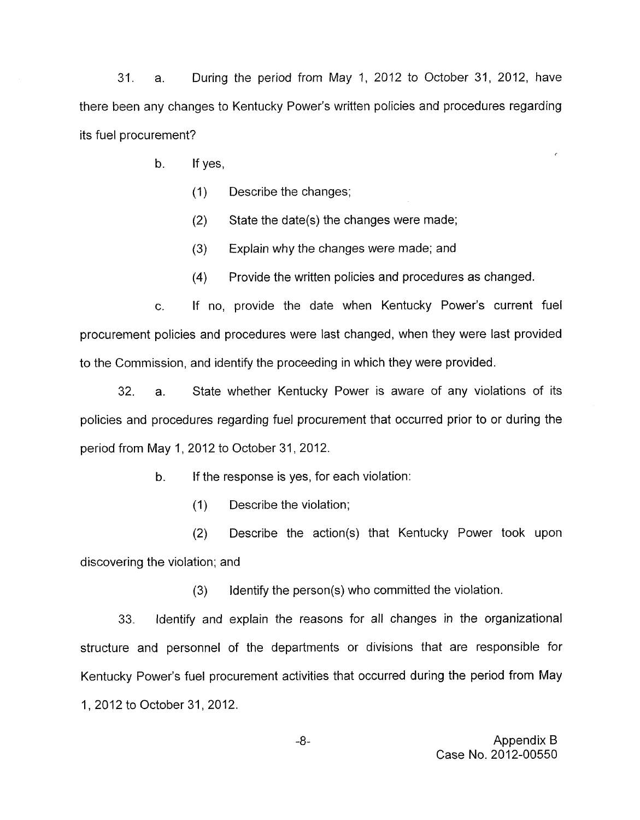31. a. During the period from May 1, 2012 to October 31, 2012, have there been any changes to Kentucky Power's written policies and procedures regarding its fuel procurement?

- b. If yes,
	- (1) Describe the changes;
	- (2) State the date(s) the changes were made;
	- (3) Explain why the changes were made; and
	- **(4)**  Provide the written policies and procedures as changed.

c. If no, provide the date when Kentucky Power's current fuel procurement policies and procedures were last changed, when they were last provided to the Commission, and identify the proceeding in which they were provided.

32. a. State whether Kentucky Power is aware of any violations of its policies and procedures regarding fuel procurement that occurred prior to or during the period from May I, 2012 to October 31, 2012.

b. If the response is yes, for each violation:

(1) Describe the violation;

(2) Describe the action(s) that Kentucky Power took upon discovering the violation; and

**(3)** Identify the person(s) who committed the violation.

33. Identify and explain the reasons for all changes in the organizational structure and personnel of the departments or divisions that are responsible for Kentucky Power's fuel procurement activities that occurred during the period from May 1, 2012 to October 31, 2012.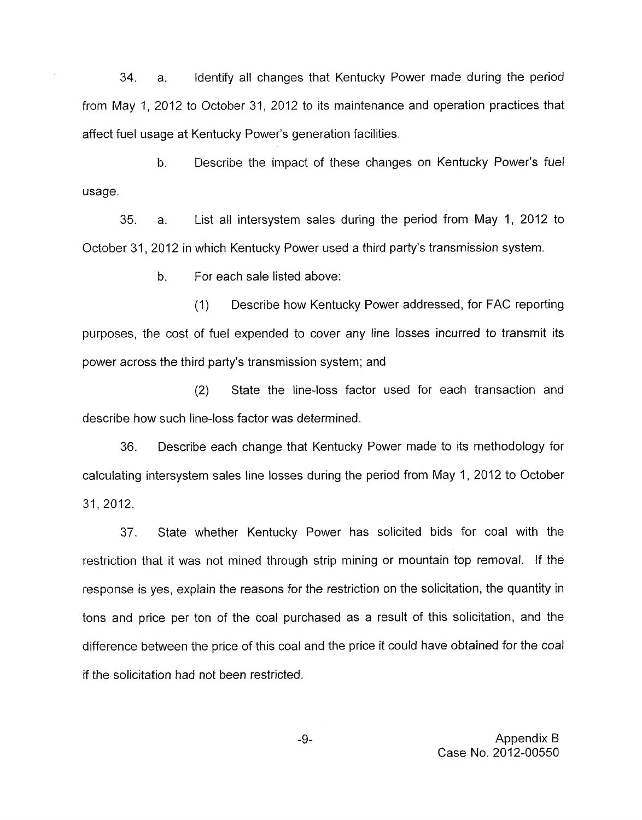34. a. Identify all changes that Kentucky Power made during the period from May 1, 2012 to October 31, 2012 to its maintenance and operation practices that affect fuel usage at Kentucky Power's generation facilities.

b. Describe the impact of these changes on Kentucky Power's fuel usage.

35. a. List all intersystem sales during the period from May 1, 2012 to October 31, 2012 in which Kentucky Power used a third party's transmission system.

b. For each sale listed above:

(1) Describe how Kentucky Power addressed, for FAC reporting purposes, the cost of fuel expended to cover any line losses incurred to transmit its power across the third party's transmission system; and

(2) State the line-loss factor used for each transaction and describe how such line-loss factor was determined.

36. Describe each change that Kentucky Power made to its methodology for calculating intersystem sales line losses during the period from May 1, 2012 to October 31, 2012.

37. State whether Kentucky Power has solicited bids for coal with the restriction that it was not mined through strip mining or mountain top removal. If the response is yes, explain the reasons for the restriction on the solicitation, the quantity in tons and price per ton of the coal purchased as a result of this solicitation, and the difference between the price of this coal and the price it could have obtained for the coal if the solicitation had not been restricted.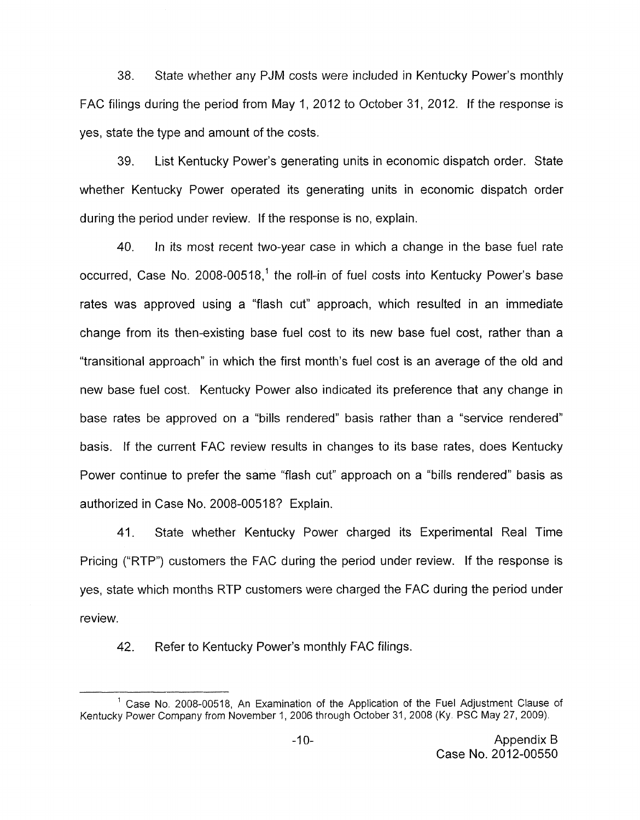38. State whether any PJM costs were included in Kentucky Power's monthly FAC filings during the period from May 1, 2012 to October 31 2012. If the response is yes, state the type and amount of the costs.

39. List Kentucky Power's generating units in economic dispatch order. State whether Kentucky Power operated its generating units in economic dispatch order during the period under review. If the response is no, explain.

40. In its most recent two-year case in which a change in the base fuel rate occurred, Case No. 2008-00518,' the roll-in of fuel costs into Kentucky Power's base rates was approved using a "flash cut" approach, which resulted in an immediate change from its then-existing base fuel cost to its new base fuel cost, rather than a "transitional approach" in which the first month's fuel cost is an average of the old and new base fuel cost. Kentucky Power also indicated its preference that any change in base rates be approved on a "bills rendered" basis rather than a "service rendered" basis. If the current FAC review results in changes to its base rates, does Kentucky Power continue to prefer the same "flash cut" approach on a "bills rendered" basis as authorized in Case No. 2008-00518? Explain.

41. State whether Kentucky Power charged its Experimental Real Time Pricing ("RTP") customers the FAC during the period under review. If the response is yes, state which months RTP customers were charged the FAC during the period under review.

42. Refer to Kentucky Power's monthly FAC filings.

<sup>&</sup>lt;sup>1</sup> Case No. 2008-00518, An Examination of the Application of the Fuel Adjustment Clause of Kentucky Power Company from November 1,2006 through October 31, 2008 (Ky. PSC May 27, 2009).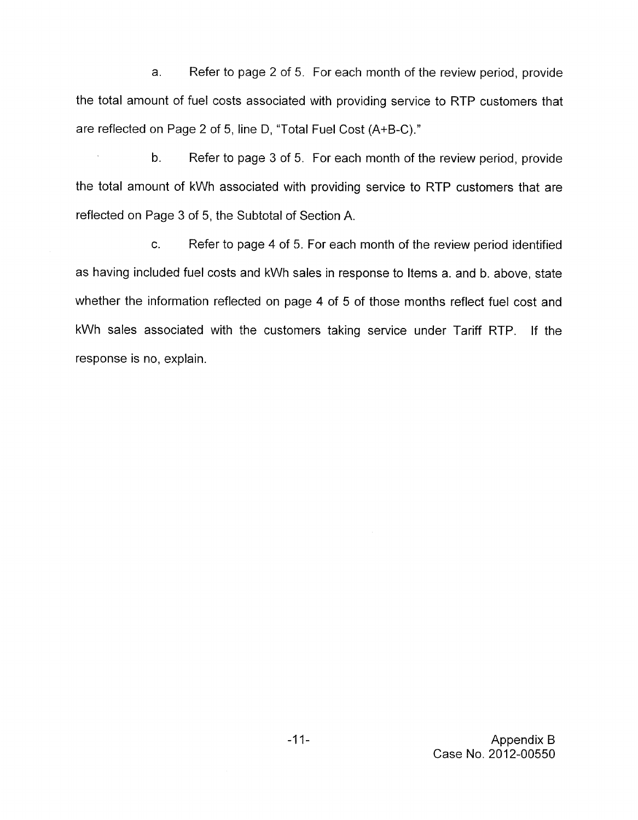a. Refer to page 2 of 5. For each month of the review period, provide the total amount of fuel costs associated with providing service to RTP customers that are reflected on Page 2 of 5, line D, "Total Fuel Cost (A+B-C)."

Refer to page 3 of 5. For each month of the review period, provide the total amount of kWh associated with providing service to RTP customers that are reflected on Page 3 of 5, the Subtotal of Section A. b.

c. Refer to page 4 of 5. For each month of the review period identified as having included fuel costs and kWh sales in response to Items a. and b. above, state whether the information reflected on page 4 of 5 of those months reflect fuel cost and kWh sales associated with the customers taking service under Tariff RTP. If the response is no, explain.